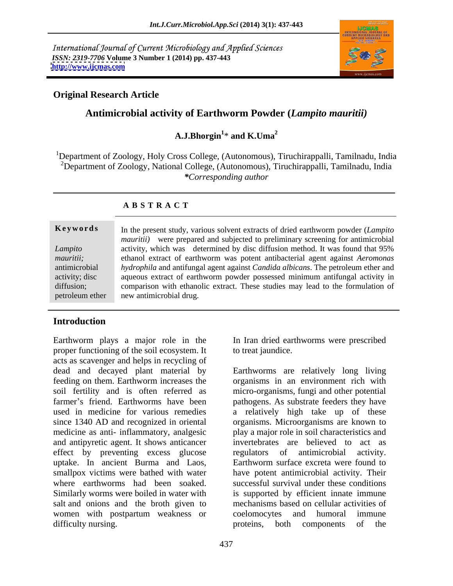International Journal of Current Microbiology and Applied Sciences *ISSN: 2319-7706* **Volume 3 Number 1 (2014) pp. 437-443 <http://www.ijcmas.com>**



### **Original Research Article**

# **Antimicrobial activity of Earthworm Powder (***Lampito mauritii)*

### A.J.Bhorgin<sup>1</sup>\* and K.Uma<sup>2</sup> \* **and K.Uma<sup>2</sup>**

<sup>1</sup>Department of Zoology, Holy Cross College, (Autonomous), Tiruchirappalli, Tamilnadu, India <sup>2</sup>Department of Zoology, National College, (Autonomous), Tiruchirappalli, Tamilnadu, India *\*Corresponding author* 

|           | Keywords In the present study, various solvent extracts of dried earthworm powder (Lampito                     |  |  |
|-----------|----------------------------------------------------------------------------------------------------------------|--|--|
|           | mauritii) were prepared and subjected to preliminary screening for antimicrobial                               |  |  |
| Lampito   | activity, which was determined by disc diffusion method. It was found that 95%                                 |  |  |
| mauritii; | ethanol extract of earthworm was potent antibacterial agent against Aeromonas                                  |  |  |
|           | antimicrobial <i>hydrophila</i> and antifungal agent against <i>Candida albicans</i> . The petroleum ether and |  |  |
|           | activity; disc aqueous extract of earthworm powder possessed minimum antifungal activity in                    |  |  |
|           | diffusion; comparison with ethanolic extract. These studies may lead to the formulation of                     |  |  |
|           | petroleum ether new antimicrobial drug.                                                                        |  |  |

### **A B S T R A C T**

# **Introduction**

Earthworm plays a major role in the In Iran dried earthworms were prescribed proper functioning of the soil ecosystem. It acts as scavenger and helps in recycling of dead and decayed plant material by Earthworms are relatively long living feeding on them. Earthworm increases the organisms in an environment rich with soil fertility and is often referred as micro-organisms, fungi and other potential farmer's friend. Earthworms have been pathogens. As substrate feeders they have used in medicine for various remedies a relatively high take up of these since 1340 AD and recognized in oriental organisms. Microorganisms are known to medicine as anti- inflammatory, analgesic and antipyretic agent. It shows anticancer effect by preventing excess glucose uptake. In ancient Burma and Laos, smallpox victims were bathed with water have potent antimicrobial activity. Their where earthworms had been soaked. successful survival under these conditions Similarly worms were boiled in water with is supported by efficient innate immune salt and onions and the broth given to mechanisms b<br>women with postpartum weakness or coelomocytes women with postpartum weakness or coelomocytes and humoral immune difficulty nursing. The proteins, both components of the

regulators of antimicrobial activity. Earthworm surface excreta were found to

to treat jaundice.

mechanisms based on cellular activities of coelomocytes and humoral immune proteins, both components of the

play a major role in soil characteristics and invertebrates are believed to act as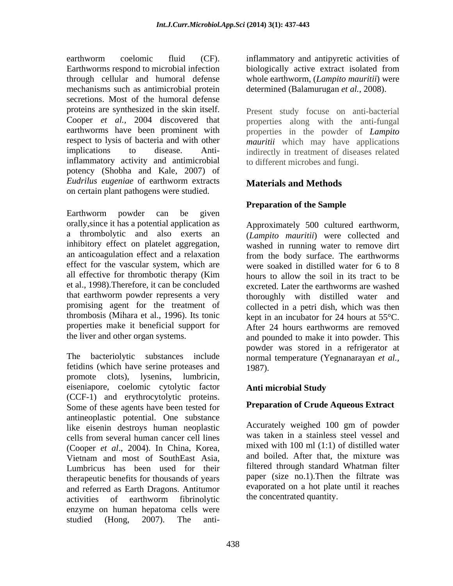earthworm coelomic fluid (CF). inflammatory and antipyretic activities of Earthworms respond to microbial infection biologically active extract isolated from through cellular and humoral defense mechanisms such as antimicrobial protein secretions. Most of the humoral defense proteins are synthesized in the skin itself. Cooper *et al.,* 2004 discovered that properties along with the anti-fungal earthworms have been prominent with properties in the powder of *Lampito* respect to lysis of bacteria and with other *mauritii* which may have applications implications to disease. Anti-indirectly in treatment of diseases related inflammatory activity and antimicrobial potency (Shobha and Kale, 2007) of *Eudrilus eugeniae* of earthworm extracts on certain plant pathogens were studied.

Earthworm powder can be given orally,since it has a potential application as a thrombolytic and also exerts an (*Lampito mauritii*) were collected and inhibitory effect on platelet aggregation, washed in running water to remove dirt an anticoagulation effect and a relaxation from the body surface. The earthworms effect for the vascular system, which are all effective for thrombotic therapy (Kim et al., 1998).Therefore, it can be concluded excreted. Later the earthworms are washed that earthworm powder represents a very thoroughly with distilled water and promising agent for the treatment of thrombosis (Mihara et al., 1996). Its tonic kept in an incubator for 24 hours at 55°C. properties make it beneficial support for

The bacteriolytic substances include normal temperature (Yegnanarayan *et al.,* fetidins (which have serine proteases and promote clots), lysenins, lumbricin, eiseniapore, coelomic cytolytic factor (CCF-1) and erythrocytolytic proteins. Some of these agents have been tested for antineoplastic potential. One substance like eisenin destroys human neoplastic cells from several human cancer cell lines (Cooper *et al*., 2004). In China, Korea, Vietnam and most of SouthEast Asia, Lumbricus has been used for their therapeutic benefits for thousands of years and referred as Earth Dragons. Antitumor activities of earthworm fibrinolytic the concentrated quantity. enzyme on human hepatoma cells were studied (Hong, 2007). The anti-

biologically active extract isolated from whole earthworm, (*Lampito mauritii*) were determined (Balamurugan *et al.,* 2008).

Present study focuse on anti-bacterial to different microbes and fungi.

# **Materials and Methods**

# **Preparation of the Sample**

the liver and other organ systems. and pounded to make it into powder. This Approximately 500 cultured earthworm, were soaked in distilled water for 6 to 8 hours to allow the soil in its tract to be collected in a petri dish, which was then After 24 hours earthworms are removed powder was stored in a refrigerator at 1987).

## **Anti microbial Study**

## **Preparation of Crude Aqueous Extract**

Accurately weighed 100 gm of powder was taken in a stainless steel vessel and mixed with 100 ml (1:1) of distilled water and boiled. After that, the mixture was filtered through standard Whatman filter paper (size no.1).Then the filtrate was evaporated on a hot plate until it reaches the concentrated quantity.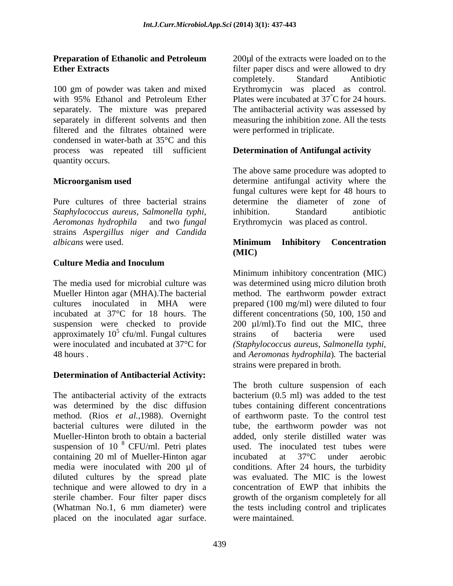100 gm of powder was taken and mixed Erythromycin was placed as control. with 95% Ethanol and Petroleum Ether Plates were incubated at 37 °C for 24 hours. separately. The mixture was prepared separately in different solvents and then measuring the inhibition zone. All the tests filtered and the filtrates obtained were condensed in water-bath at 35°C and this process was repeated till sufficient quantity occurs.

Pure cultures of three bacterial strains *Staphylococcus aureus*, *Salmonella typhi, Aeromonas hydrophila* and two *fungal* Erythromycin was placed as control. strains *Aspergillus niger and Candida albicans* were used. **Minimum Inhibitory Concentration** 

# **Culture Media and Inoculum**

suspension were checked to provide

## **Determination of Antibacterial Activity:**

The antibacterial activity of the extracts was determined by the disc diffusion method. (Rios *et al.,*1988). Overnight bacterial cultures were diluted in the tube, the earthworm powder was not Mueller-Hinton broth to obtain a bacterial added, only sterile distilled water was suspension of 10 $8$  CFU/ml. Petri plates containing 20 ml of Mueller-Hinton agar incubated at 37°C under aerobic<br>media were inoculated with 200 µl of conditions. After 24 hours, the turbidity media were inoculated with 200 µl of conditions. After 24 hours, the turbidity diluted cultures by the spread plate technique and were allowed to dry in a sterile chamber. Four filter paper discs growth of the organism completely for all (Whatman No.1, 6 mm diameter) were the tests including control and triplicates placed on the inoculated agar surface.

**Preparation of Ethanolic and Petroleum Ether Extracts Extracts Extracts Extracts Extracts Extracts EXECUTE:**  $\frac{1}{2}$  **EXECUTE:**  $\frac{1}{2}$  **EXECUTE:**  $\frac{1}{2}$  **EXECUTE:**  $\frac{1}{2}$  **EXECUTE:**  $\frac{1}{2}$  **EXECUTE:**  $\frac{1}{2}$  **EXECUTE:**  $\frac{1}{2}$  **EX** 200µl of the extracts were loaded on to the completely. Standard Antibiotic Plates were incubated at 37°C for 24 hours. The antibacterial activity was assessed by were performed in triplicate.

## **Determination of Antifungal activity**

**Microorganism used determine** antifungal activity where the The above same procedure was adopted to fungal cultures were kept for 48 hours to determine the diameter of zone of inhibition. Standard antibiotic

### **Minimum Inhibitory Concentration (MIC)**

The media used for microbial culture was was determined using micro dilution broth Mueller Hinton agar (MHA).The bacterial method. The earthworm powder extract cultures inoculated in MHA were prepared (100 mg/ml) were diluted to four incubated at 37°C for 18 hours. The different concentrations (50, 100, 150 and approximately  $10^5$  cfu/ml. Fungal cultures strains of bacteria were used were inoculated and incubated at 37°C for *(Staphylococcus aureus*, *Salmonella typhi,* 48 hours . and *Aeromonas hydrophila*)*.* The bacterial Minimum inhibitory concentration (MIC) 200 ul/ml). To find out the MIC, three strains of bacteria were used strains were prepared in broth.

<sup>8</sup> CFU/ml. Petri plates used. The inoculated test tubes were The broth culture suspension of each bacterium (0.5 ml) was added to the test tubes containing different concentrations of earthworm paste. To the control test incubated at 37°C under aerobic was evaluated. The MIC is the lowest concentration of EWP that inhibits the were maintained.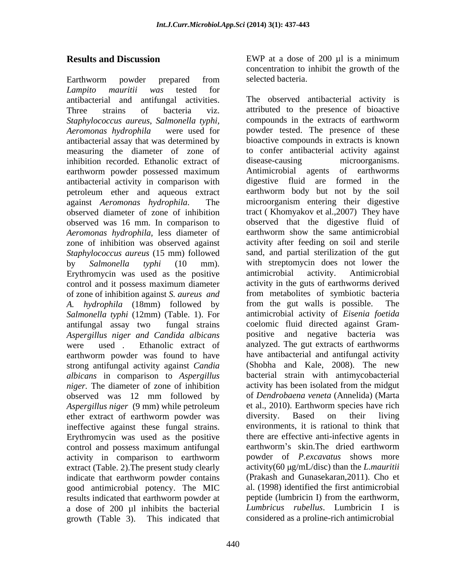Earthworm powder prepared from *Lampito mauritii was* tested for *Staphylococcus aureus*, *Salmonella typhi,* antibacterial assay that was determined by inhibition recorded. Ethanolic extract of disease-causing microorganisms. earthworm powder possessed maximum antibacterial activity in comparison with observed was 16 mm. In comparison to *Aeromonas hydrophila,* less diameter of zone of inhibition was observed against Erythromycin was used as the positive antimicrobial activity. Antimicrobial control and it possess maximum diameter of zone of inhibition against *S. aureus and* earthworm powder was found to have strong antifungal activity against *Candia albicans* in comparison to *Aspergillus niger.* The diameter of zone of inhibition *Aspergillus niger* (9 mm) while petroleum et al., 2010). Earthw<br>ether extract of earthworm powder was diversity. Based ether extract of earthworm powder was diversity. Based on their living ineffective against these fungal strains. Erythromycin was used as the positive control and possess maximum antifungal earthworm's skin. The dried earthworm activity in comparison to earthworm extract (Table. 2).The present study clearly indicate that earthworm powder contains good antimicrobial potency. The MIC al. (1998) identified the first antimicrobial results indicated that earthworm powder at peptide (lumbricin I) from the earthworm. results indicated that earthworm powder at a dose of 200 µl inhibits the bacterial

**Results and Discussion** EWP at a dose of 200 µl is a minimum concentration to inhibit the growth of the selected bacteria.

antibacterial and antifungal activities. The observed antibacterial activity is Three strains of bacteria viz. attributed to the presence of bioactive *Aeromonas hydrophila* were used for powder tested. The presence of these measuring the diameter of zone of to confer antibacterial activity against petroleum ether and aqueous extract earthworm body but not by the soil against *Aeromonas hydrophila*. The microorganism entering their digestive observed diameter of zone of inhibition tract ( Khomyakov et al.,2007) They have *Staphylococcus aureus* (15 mm) followed sand, and partial sterilization of the gut by *Salmonella typhi* (10 mm). with streptomycin does not lower the *A. hydrophila* (18mm) followed by *Salmonella typhi* (12mm) (Table. 1). For antifungal assay two fungal strains *Aspergillus niger and Candida albicans* were used . Ethanolic extract of analyzed. The gut extracts of earthworms observed was 12 mm followed by of *Dendrobaena veneta* (Annelida) (Marta growth (Table 3). This indicated that considered as a proline-rich antimicrobial compounds in the extracts of earthworm bioactive compounds in extracts is known disease-causing microorganisms. Antimicrobial agents of earthworms digestive fluid are formed in the observed that the digestive fluid of earthworm show the same antimicrobial activity after feeding on soil and sterile antimicrobial activity. Antimicrobial activity in the guts of earthworms derived from metabolites of symbiotic bacteria from the gut walls is possible. The antimicrobial activity of *Eisenia foetida* coelomic fluid directed against Gram positive and negative bacteria was have antibacterial and antifungal activity (Shobha and Kale, 2008). The new bacterial strain with antimycobacterial activity has been isolated from the midgut of *Dendrobaena veneta* (Annelida) (Marta et al., 2010). Earthworm species have rich diversity. Based on their living environments, it is rational to think that there are effective anti-infective agents in earthworm's skin.The dried earthworm powder of *P.excavatus* shows more activity(60 g/mL/disc) than the *L.mauritii* (Prakash and Gunasekaran,2011). Cho et al. (1998) identified the first antimicrobial peptide (lumbricin I) from the earthworm, *Lumbricus rubellus*. Lumbricin I is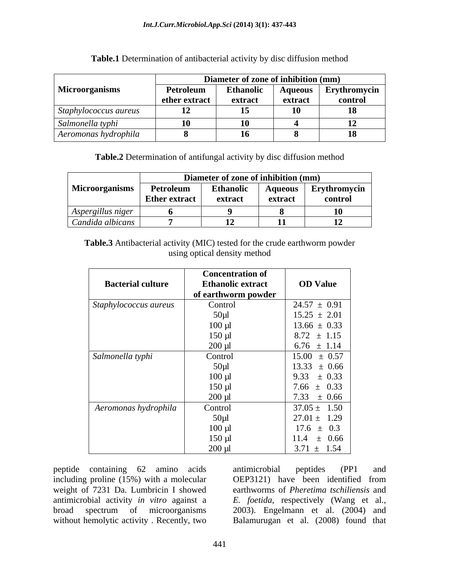|                                   |               | Diameter of zone of inhibition (mm) |         |              |  |
|-----------------------------------|---------------|-------------------------------------|---------|--------------|--|
| <b>Microorganisms</b>             | Petroleum     | <b>Ethanolic</b>                    | Aqueous | Erythromycin |  |
|                                   | ether extract | extrac                              | extract | control      |  |
| Staphylococcus aureus             | 12            | --<br>--                            | $ \sim$ |              |  |
| $\sim$ $\sim$<br>Salmonella typhi | <b>10</b>     | LO                                  |         |              |  |
| Aeromonas hydrophila              |               | 16                                  |         | 10           |  |

**Table.1** Determination of antibacterial activity by disc diffusion method

**Table.2** Determination of antifungal activity by disc diffusion method

| Diameter of zone of inhibition (mm) |                      |           |                |              |
|-------------------------------------|----------------------|-----------|----------------|--------------|
| <b>Microorganisms</b>               | Petroleum            | Ethanolic | <b>Aqueous</b> | Erythromycin |
|                                     | <b>Ether extract</b> | extract   | extract        | control      |
| Aspergillus niger                   |                      |           |                |              |
| $\mathbf{1}$<br>Candida albicans    |                      |           | $\blacksquare$ |              |

**Table.3** Antibacterial activity (MIC) tested for the crude earthworm powder using optical density method

|                          | <b>Concentration of</b>  |                  |
|--------------------------|--------------------------|------------------|
| <b>Bacterial culture</b> | <b>Ethanolic extract</b> | <b>OD Value</b>  |
|                          | of earthworm powder      |                  |
| Staphylococcus aureus    | Control                  | $24.57 \pm 0.91$ |
|                          | $50 \mu l$               | $15.25 \pm 2.01$ |
|                          | $100 \mu l$              | $13.66 \pm 0.33$ |
|                          | $150 \mu l$              | $8.72 \pm 1.15$  |
|                          | $200 \mu l$              | $6.76 \pm 1.14$  |
| Salmonella typhi         | Control                  | $15.00 \pm 0.57$ |
|                          | $50 \mu l$               | $13.33 \pm 0.66$ |
|                          | $100 \mu l$              | $9.33 \pm 0.33$  |
|                          | $150 \mu l$              | 7.66 $\pm$ 0.33  |
|                          | $200 \mu l$              | $7.33 \pm 0.66$  |
| Aeromonas hydrophila     | Control                  | $37.05 \pm 1.50$ |
|                          | $50\mu$ l                | $27.01 \pm 1.29$ |
|                          | $100 \mu l$              | $17.6 \pm 0.3$   |
|                          | $150 \mu l$              | $11.4 \pm 0.66$  |
|                          | $200 \mu l$              | $3.71 \pm 1.54$  |

peptide containing 62 amino acids including proline (15%) with a molecular (OEP3121) have been identified from without hemolytic activity . Recently, two

weight of 7231 Da. Lumbricin I showed earthworms of *Pheretima tschiliensis* and antimicrobial activity *in vitro* against a *E. foetida,* respectively (Wang et al., broad spectrum of microorganisms 2003). Engelmann et al. (2004) and antimicrobial peptides (PP1 and OEP3121) have been identified from Balamurugan et al. (2008) found that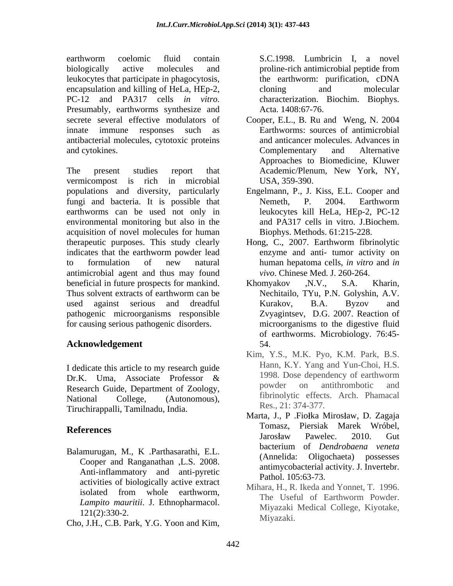earthworm coelomic fluid contain S.C.1998. Lumbricin I, a novel biologically active molecules and proline-rich antimicrobial peptide from leukocytes that participate in phagocytosis, encapsulation and killing of HeLa, HEp-2, cloning and molecular PC-12 and PA317 cells *in vitro*. characterization. Biochim. Biophys.<br>Presumably, earthworms synthesize and Acta. 1408:67-76. secrete several effective modulators of Cooper, E.L., B. Ru and Weng, N. 2004 innate immune responses such as Earthworms: sources of antimicrobial antibacterial molecules, cytotoxic proteins and cytokines. Complementary and Alternative

The present studies report that Academic/Plenum, New York, NY, vermicompost is rich in microbial populations and diversity, particularly fungi and bacteria. It is possible that Nemeth, P. 2004. Earthworm earthworms can be used not only in environmental monitoring but also in the acquisition of novel molecules for human therapeutic purposes. This study clearly indicates that the earthworm powder lead to formulation of new natural human hepatoma cells, *in vitro* and *in* antimicrobial agent and thus may found beneficial in future prospects for mankind. Khomyakov , N.V., S.A. Kharin, Thus solvent extracts of earthworm can be used against serious and dreadful pathogenic microorganisms responsible for causing serious pathogenic disorders.

## Acknowledgement 54.

I dedicate this article to my research guide<br>Dr. K. 1. 1 ang and 1 un-Choi, H.S.<br> $\Pr K = \lim_{n \to \infty} \frac{\text{Area of the region}}{\text{Area of the region}}$ Research Guide, Department of Zoology, powder on antithrombotic and Tiruchirappalli, Tamilnadu, India.

Balamurugan, M., K. Parthasarathi, E.L. (Annelida: Oligochaeta) possesses Cooper and Ranganathan ,L.S. 2008. Anti-inflammatory and anti-pyretic activities of biologically active extract

Cho, J.H., C.B. Park, Y.G. Yoon and Kim,

S.C.1998. Lumbricin I, a novel proline-rich antimicrobial peptide from the earthworm: purification, cDNA cloning and molecular characterization. Biochim. Biophys. Acta. 1408:67-76.

- and anticancer molecules. Advances in Complementary and Alternative Approaches to Biomedicine, Kluwer USA, 359-390.
- Engelmann, P., J. Kiss, E.L. Cooper and Nemeth, P. 2004. Earthworm leukocytes kill HeLa, HEp-2, PC-12 and PA317 cells in vitro. J.Biochem. Biophys. Methods. 61:215-228.
- Hong, C., 2007. Earthworm fibrinolytic enzyme and anti- tumor activity on *vivo*. Chinese Med. J. 260-264.
- Khomyakov ,N.V., S.A. Kharin, Nechitailo, TYu, P.N. Golyshin, A.V. Kurakov, B.A. Byzov and Zvyagintsev, D.G. 2007. Reaction of microorganisms to the digestive fluid of earthworms. Microbiology. 76:45- 54.
- Dr.K. Uma, Associate Professor & 1998. Dose dependency of early ormain of Dr.K. National College, (Autonomous), fibrinolytic effects. Arch. Phamacal Kim, Y.S., M.K. Pyo, K.M. Park, B.S. Hann, K.Y. Yang and Yun-Choi, H.S. 1998. Dose dependency of earthworm powder on antithrombotic and Res., 21: 374-377.
- **References References References References References References References References References References References References References References References References References** Marta, J., P. Fiołka Mirosław, D. Zagaja Tomasz, Piersiak Marek Wróbel, Jarosław Pawelec. 2010. Gut bacterium of *Dendrobaena veneta* (Annelida: Oligochaeta) possesses antimycobacterial activity. J. Invertebr. Pathol. 105:63-73.
	- isolated from whole earthworm,  $\frac{m_1}{n_2}$   $\frac{m_2}{n_3}$   $\frac{m_3}{n_4}$   $\frac{m_5}{n_5}$   $\frac{m_6}{n_6}$   $\frac{m_7}{n_7}$   $\frac{m_8}{n_8}$   $\frac{m_9}{n_9}$   $\frac{m_1}{n_7}$   $\frac{m_1}{n_8}$   $\frac{m_1}{n_8}$   $\frac{m_1}{n_8}$   $\frac{m_1}{n_8}$   $\frac{m_1}{$ *Lampito mauritii*. J. Ethnopharmacol. The Useful of Earthworm Powder.  $121(2):330-2$ . Mihara, H., R. Ikeda and Yonnet, T. 1996. The Useful of Earthworm Powder. Miyazaki Medical College, Kiyotake, Miyazaki.